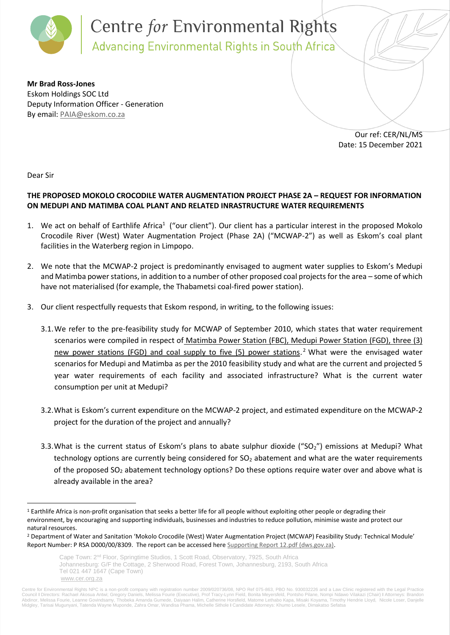

**Mr Brad Ross-Jones** Eskom Holdings SOC Ltd Deputy Information Officer - Generation By email: [PAIA@eskom.co.za](mailto:PAIA@eskom.co.za)

> Our ref: CER/NL/MS Date: 15 December 2021

Dear Sir

 $\overline{a}$ 

## **THE PROPOSED MOKOLO CROCODILE WATER AUGMENTATION PROJECT PHASE 2A – REQUEST FOR INFORMATION ON MEDUPI AND MATIMBA COAL PLANT AND RELATED INRASTRUCTURE WATER REQUIREMENTS**

- 1. We act on behalf of Earthlife Africa<sup>1</sup> ("our client"). Our client has a particular interest in the proposed Mokolo Crocodile River (West) Water Augmentation Project (Phase 2A) ("MCWAP-2") as well as Eskom's coal plant facilities in the Waterberg region in Limpopo.
- 2. We note that the MCWAP-2 project is predominantly envisaged to augment water supplies to Eskom's Medupi and Matimba power stations, in addition to a number of other proposed coal projects for the area – some of which have not materialised (for example, the Thabametsi coal-fired power station).
- 3. Our client respectfully requests that Eskom respond, in writing, to the following issues:
	- 3.1.We refer to the pre-feasibility study for MCWAP of September 2010, which states that water requirement scenarios were compiled in respect of Matimba Power Station (FBC), Medupi Power Station (FGD), three (3) new power stations (FGD) and coal supply to five (5) power stations.<sup>2</sup> What were the envisaged water scenarios for Medupi and Matimba as per the 2010 feasibility study and what are the current and projected 5 year water requirements of each facility and associated infrastructure? What is the current water consumption per unit at Medupi?
	- 3.2.What is Eskom's current expenditure on the MCWAP-2 project, and estimated expenditure on the MCWAP-2 project for the duration of the project and annually?
	- 3.3. What is the current status of Eskom's plans to abate sulphur dioxide ("SO<sub>2</sub>") emissions at Medupi? What technology options are currently being considered for SO<sub>2</sub> abatement and what are the water requirements of the proposed  $SO_2$  abatement technology options? Do these options require water over and above what is already available in the area?

<sup>&</sup>lt;sup>1</sup> Earthlife Africa is non-profit organisation that seeks a better life for all people without exploiting other people or degrading their environment, by encouraging and supporting individuals, businesses and industries to reduce pollution, minimise waste and protect our natural resources.

<sup>2</sup> Department of Water and Sanitation 'Mokolo Crocodile (West) Water Augmentation Project (MCWAP) Feasibility Study: Technical Module' Report Number: P RSA D000/00/8309. The report can be accessed here [Supporting Report 12.pdf \(dws.gov.za\).](https://www.dws.gov.za/iwrp/MCWAP/Documents/Technical%20Module/Supporting%20Report%2012.pdf)

Cape Town: 2<sup>nd</sup> Floor, Springtime Studios, 1 Scott Road, Observatory, 7925, South Africa Johannesburg: G/F the Cottage, 2 Sherwood Road, Forest Town, Johannesburg, 2193, South Africa Tel 021 447 1647 (Cape Town) [www.cer.org.za](http://www.cer.org.za/)

Centre for Environmental Rights NPC is a non-profit company with registration number 2009/020736/08, NPO Ref 075-863, PBO No. 930032226 and a Law Clinic registered with the Legal Practice<br>Council I Directors: Rachael Akosu Midgley, Tarisai Mugunyani, Tatenda Wayne Muponde, Zahra Omar, Wandisa Phama, Michelle Sithole **I** Candidate Attorneys: Khumo Lesele, Dimakatso Sefatsa